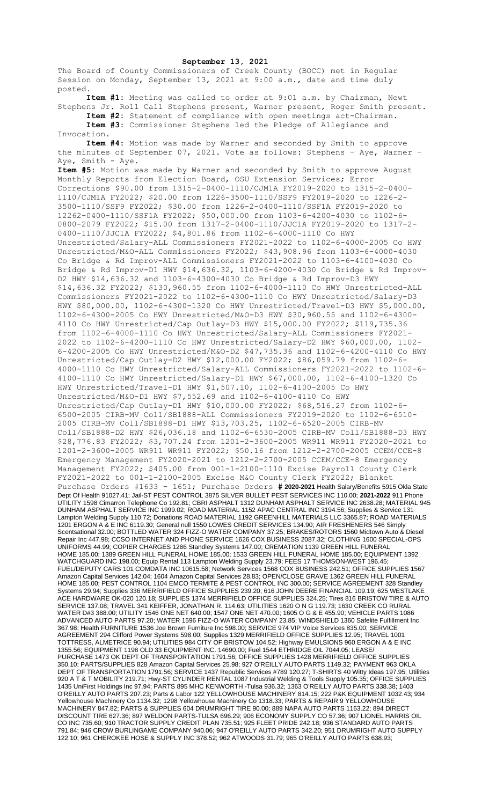## **September 13, 2021**

The Board of County Commissioners of Creek County (BOCC) met in Regular Session on Monday, September 13, 2021 at 9:00 a.m., date and time duly posted.

**Item #1:** Meeting was called to order at 9:01 a.m. by Chairman, Newt Stephens Jr. Roll Call Stephens present, Warner present, Roger Smith present. **Item #2:** Statement of compliance with open meetings act-Chairman.

**Item #3:** Commissioner Stephens led the Pledge of Allegiance and Invocation.

**Item #4:** Motion was made by Warner and seconded by Smith to approve the minutes of September 07, 2021. Vote as follows: Stephens – Aye, Warner – Aye, Smith - Aye.

**Item #5:** Motion was made by Warner and seconded by Smith to approve August Monthly Reports from Election Board, OSU Extension Services; Error Corrections \$90.00 from 1315-2-0400-1110/CJM1A FY2019-2020 to 1315-2-0400- 1110/CJM1A FY2022; \$20.00 from 1226-3500-1110/SSF9 FY2019-2020 to 1226-2- 3500-1110/SSF9 FY2022; \$30.00 from 1226-2-0400-1110/SSF1A FY2019-2020 to 12262-0400-1110/SSF1A FY2022; \$50,000.00 from 1103-6-4200-4030 to 1102-6- 0800-2079 FY2022; \$15.00 from 1317-2-0400-1110/JJC1A FY2019-2020 to 1317-2- 0400-1110/JJC1A FY2022; \$4,801.86 from 1102-6-4000-1110 Co HWY Unrestricted/Salary-ALL Commissioners FY2021-2022 to 1102-6-4000-2005 Co HWY Unrestricted/M&O-ALL Commissioners FY2022; \$43,908.96 from 1103-6-4000-4030 Co Bridge & Rd Improv-ALL Commissioners FY2021-2022 to 1103-6-4100-4030 Co Bridge & Rd Improv-D1 HWY \$14,636.32, 1103-6-4200-4030 Co Bridge & Rd Improv-D2 HWY \$14,636.32 and 1103-6-4300-4030 Co Bridge & Rd Improv-D3 HWY \$14,636.32 FY2022; \$130,960.55 from 1102-6-4000-1110 Co HWY Unrestricted-ALL Commissioners FY2021-2022 to 1102-6-4300-1110 Co HWY Unrestricted/Salary-D3 HWY \$80,000.00, 1102-6-4300-1320 Co HWY Unrestricted/Travel-D3 HWY \$5,000.00, 1102-6-4300-2005 Co HWY Unrestricted/M&O-D3 HWY \$30,960.55 and 1102-6-4300- 4110 Co HWY Unrestricted/Cap Outlay-D3 HWY \$15,000.00 FY2022; \$119,735.36 from 1102-6-4000-1110 Co HWY Unrestricted/Salary-ALL Commissioners FY2021- 2022 to 1102-6-4200-1110 Co HWY Unrestricted/Salary-D2 HWY \$60,000.00, 1102- 6-4200-2005 Co HWY Unrestricted/M&O-D2 \$47,735.36 and 1102-6-4200-4110 Co HWY Unrestricted/Cap Outlay-D2 HWY \$12,000.00 FY2022; \$86,059.79 from 1102-6- 4000-1110 Co HWY Unrestricted/Salary-ALL Commissioners FY2021-2022 to 1102-6- 4100-1110 Co HWY Unrestricted/Salary-D1 HWY \$67,000.00, 1102-6-4100-1320 Co HWY Unrestricted/Travel-D1 HWY \$1,507.10, 1102-6-4100-2005 Co HWY Unrestricted/M&O-D1 HWY \$7,552.69 and 1102-6-4100-4110 Co HWY Unrestricted/Cap Outlay-D1 HWY \$10,000.00 FY2022; \$68,516.27 from 1102-6- 6500-2005 CIRB-MV Coll/SB1888-ALL Commissioners FY2019-2020 to 1102-6-6510- 2005 CIRB-MV Coll/SB1888-D1 HWY \$13,703.25, 1102-6-6520-2005 CIRB-MV Coll/SB1888-D2 HWY \$26,036.18 and 1102-6-6530-2005 CIRB-MV Coll/SB1888-D3 HWY \$28,776.83 FY2022; \$3,707.24 from 1201-2-3600-2005 WR911 WR911 FY2020-2021 to 1201-2-3600-2005 WR911 WR911 FY2022; \$50.16 from 1212-2-2700-2005 CCEM/CCE-8 Emergency Management FY2020-2021 to 1212-2-2700-2005 CCEM/CCE-8 Emergency Management FY2022; \$405.00 from 001-1-2100-1110 Excise Payroll County Clerk FY2021-2022 to 001-1-2100-2005 Excise M&O County Clerk FY2022; Blanket Purchase Orders #1633 - 1651; Purchase Orders **# 2020-2021** Health Salary/Benefits 5915 Okla State Dept Of Health 91027.41; Jail-ST PEST CONTROL 3875 SILVER BULLET PEST SERVICES INC 110.00; **2021-2022** 911 Phone UTILITY 1598 Cimarron Telephone Co 192.81; CBRI ASPHALT 1312 DUNHAM ASPHALT SERVICE INC 2638.28; MATERIAL 945 DUNHAM ASPHALT SERVICE INC 1999.02; ROAD MATERIAL 1152 APAC CENTRAL INC 3194.56; Supplies & Service 131 Lampton Welding Supply 110.72; Donations ROAD MATERIAL 1192 GREENHILL MATERIALS LLC 3365.87; ROAD MATERIALS 1201 ERGON A & E INC 6119.30; General null 1550 LOWES CREDIT SERVICES 134.90; AIR FRESHENERS 546 Simply Scentsational 32.00; BOTTLED WATER 324 FIZZ-O WATER COMPANY 37.25; BRAKES/ROTORS 1560 Midtown Auto & Diesel Repair Inc 447.98; CCSO INTERNET AND PHONE SERVICE 1626 COX BUSINESS 2087.32; CLOTHING 1600 SPECIAL-OPS UNIFORMS 44.99; COPIER CHARGES 1286 Standley Systems 147.00; CREMATION 1139 GREEN HILL FUNERAL HOME 185.00; 1389 GREEN HILL FUNERAL HOME 185.00; 1533 GREEN HILL FUNERAL HOME 185.00; EQUIPMENT 1392 WATCHGUARD INC 198.00; Equip Rental 113 Lampton Welding Supply 23.79; FEES 17 THOMSON-WEST 196.45; FUEL/DEPUTY CARS 101 COMDATA INC 10615.58; Network Services 1568 COX BUSINESS 242.51; OFFICE SUPPLIES 1567 Amazon Capital Services 142.04; 1604 Amazon Capital Services 28.83; OPEN/CLOSE GRAVE 1362 GREEN HILL FUNERAL HOME 185.00; PEST CONTROL 1104 EMCO TERMITE & PEST CONTROL INC 300.00; SERVICE AGREEMENT 328 Standley Systems 29.94; Supplies 336 MERRIFIELD OFFICE SUPPLIES 239.20; 616 JOHN DEERE FINANCIAL 109.19; 625 WESTLAKE ACE HARDWARE OK-020 120.18; SUPPLIES 1374 MERRIFIELD OFFICE SUPPLIES 324.25; Tires 816 BRISTOW TIRE & AUTO SERVICE 137.08; TRAVEL 341 KEIFFER, JONATHAN R. 114.63; UTILITIES 1620 O N G 119.73; 1630 CREEK CO RURAL WATER D#3 388.00; UTILITY 1546 ONE NET 640.00; 1547 ONE NET 470.00; 1605 O G & E 455.90; VEHICLE PARTS 1086 ADVANCED AUTO PARTS 97.20; WATER 1596 FIZZ-O WATER COMPANY 23.85; WINDSHIELD 1360 Safelite Fulfillment Inc 367.98; Health FURNITURE 1536 Joe Brown Furniture Inc 598.00; SERVICE 974 VIP Voice Services 835.00; SERVICE AGREEMENT 294 Clifford Power Systems 598.00; Supplies 1329 MERRIFIELD OFFICE SUPPLIES 12.95; TRAVEL 1001 TOTTRESS, ALMETRICE 90.94; UTILITIES 984 CITY OF BRISTOW 104.52; Highway EMULSIONS 960 ERGON A & E INC 1355.56; EQUIPMENT 1198 OLD 33 EQUIPMENT INC. 14690.00; Fuel 1544 ETHRIDGE OIL 7044.05; LEASE/ PURCHASE 1473 OK DEPT OF TRANSPORTATION 1791.56; OFFICE SUPPLIES 1428 MERRIFIELD OFFICE SUPPLIES 350.10; PARTS/SUPPLIES 828 Amazon Capital Services 25.98; 927 O'REILLY AUTO PARTS 1149.32; PAYMENT 963 OKLA DEPT OF TRANSPORTATION 1791.56; SERVICE 1437 Republic Services #789 120.27; T-SHIRTS 40 Witty Ideas 197.95; Utilities 920 A T & T MOBILITY 219.71; Hwy-ST CYLINDER RENTAL 1087 Industrial Welding & Tools Supply 105.35; OFFICE SUPPLIES 1435 UniFirst Holdings Inc 97.94; PARTS 895 MHC KENWORTH -Tulsa 936.32; 1363 O'REILLY AUTO PARTS 338.38; 1403 O'REILLY AUTO PARTS 207.23; Parts & Labor 122 YELLOWHOUSE MACHINERY 814.15; 222 P&K EQUIPMENT 1032.43; 934 Yellowhouse Machinery Co 1134.32; 1298 Yellowhouse Machinery Co 1318.33; PARTS & REPAIR 9 YELLOWHOUSE MACHINERY 847.82; PARTS & SUPPLIES 604 DRUMRIGHT TIRE 90.00; 889 NAPA AUTO PARTS 1163.22; 894 DIRECT DISCOUNT TIRE 627.36; 897 WELDON PARTS-TULSA 696.29; 906 ECONOMY SUPPLY CO 57.36; 907 LIONEL HARRIS OIL CO INC 735.60; 910 TRACTOR SUPPLY CREDIT PLAN 735.51; 925 FLEET PRIDE 242.18; 936 STANDARD AUTO PARTS 791.84; 946 CROW BURLINGAME COMPANY 940.06; 947 O'REILLY AUTO PARTS 342.20; 951 DRUMRIGHT AUTO SUPPLY 122.10; 961 CHEROKEE HOSE & SUPPLY INC 378.52; 962 ATWOODS 31.79; 965 O'REILLY AUTO PARTS 638.93;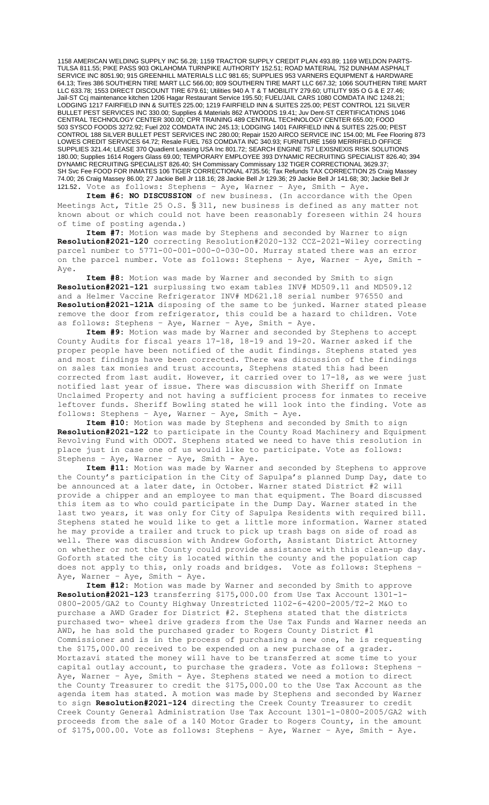1158 AMERICAN WELDING SUPPLY INC 56.28; 1159 TRACTOR SUPPLY CREDIT PLAN 493.89; 1169 WELDON PARTS-TULSA 811.55; PIKE PASS 903 OKLAHOMA TURNPIKE AUTHORITY 152.51; ROAD MATERIAL 752 DUNHAM ASPHALT SERVICE INC 8051.90; 915 GREENHILL MATERIALS LLC 981.65; SUPPLIES 953 VARNERS EQUIPMENT & HARDWARE 64.13; Tires 386 SOUTHERN TIRE MART LLC 566.00; 809 SOUTHERN TIRE MART LLC 667.32; 1066 SOUTHERN TIRE MART LLC 633.78; 1553 DIRECT DISCOUNT TIRE 679.61; Utilities 940 A T & T MOBILITY 279.60; UTILITY 935 O G & E 27.46; Jail-ST Ccj maintenance kitchen 1206 Hagar Restaurant Service 195.50; FUEL/JAIL CARS 1080 COMDATA INC 1248.21; LODGING 1217 FAIRFIELD INN & SUITES 225.00; 1219 FAIRFIELD INN & SUITES 225.00; PEST CONTROL 121 SILVER BULLET PEST SERVICES INC 330.00; Supplies & Materials 862 ATWOODS 19.41; Juv Dent-ST CERTIFICATIONS 1046 CENTRAL TECHNOLOGY CENTER 300.00; CPR TRAINING 489 CENTRAL TECHNOLOGY CENTER 655.00; FOOD 503 SYSCO FOODS 3272.92; Fuel 202 COMDATA INC 245.13; LODGING 1401 FAIRFIELD INN & SUITES 225.00; PEST CONTROL 188 SILVER BULLET PEST SERVICES INC 280.00; Repair 1520 AIRCO SERVICE INC 154.00; ML Fee Flooring 873 LOWES CREDIT SERVICES 64.72; Resale FUEL 763 COMDATA INC 340.93; FURNITURE 1569 MERRIFIELD OFFICE SUPPLIES 321.44; LEASE 370 Quadient Leasing USA Inc 801.72; SEARCH ENGINE 757 LEXISNEXIS RISK SOLUTIONS 180.00; Supplies 1614 Rogers Glass 69.00; TEMPORARY EMPLOYEE 393 DYNAMIC RECRUITING SPECIALIST 826.40; 394 DYNAMIC RECRUITING SPECIALIST 826.40; SH Commissary Commissary 132 TIGER CORRECTIONAL 3629.37; SH Svc Fee FOOD FOR INMATES 106 TIGER CORRECTIONAL 4735.56; Tax Refunds TAX CORRECTION 25 Craig Massey 74.00; 26 Craig Massey 86.00; 27 Jackie Bell Jr 118.16; 28 Jackie Bell Jr 129.36; 29 Jackie Bell Jr 141.68; 30; Jackie Bell Jr 121.52. Vote as follows: Stephens – Aye, Warner – Aye, Smith - Aye.

**Item #6: NO DISCUSSION** of new business. (In accordance with the Open Meetings Act, Title 25 O.S. § 311, new business is defined as any matter not known about or which could not have been reasonably foreseen within 24 hours of time of posting agenda.)

**Item #7:** Motion was made by Stephens and seconded by Warner to sign **Resolution#2021-120** correcting Resolution#2020-132 CCZ-2021-Wiley correcting parcel number to 5771-00-001-000-0-030-00. Murray stated there was an error on the parcel number. Vote as follows: Stephens – Aye, Warner – Aye, Smith - Aye.

**Item #8:** Motion was made by Warner and seconded by Smith to sign **Resolution#2021-121** surplussing two exam tables INV# MD509.11 and MD509.12 and a Helmer Vaccine Refrigerator INV# MD621.18 serial number 976550 and **Resolution#2021-121A** disposing of the same to be junked. Warner stated please remove the door from refrigerator, this could be a hazard to children. Vote as follows: Stephens – Aye, Warner – Aye, Smith - Aye.

**Item #9:** Motion was made by Warner and seconded by Stephens to accept County Audits for fiscal years 17-18, 18-19 and 19-20. Warner asked if the proper people have been notified of the audit findings. Stephens stated yes and most findings have been corrected. There was discussion of the findings on sales tax monies and trust accounts, Stephens stated this had been corrected from last audit. However, it carried over to 17-18, as we were just notified last year of issue. There was discussion with Sheriff on Inmate Unclaimed Property and not having a sufficient process for inmates to receive leftover funds. Sheriff Bowling stated he will look into the finding. Vote as follows: Stephens – Aye, Warner – Aye, Smith - Aye.

**Item #10:** Motion was made by Stephens and seconded by Smith to sign **Resolution#2021-122** to participate in the County Road Machinery and Equipment Revolving Fund with ODOT. Stephens stated we need to have this resolution in place just in case one of us would like to participate. Vote as follows: Stephens – Aye, Warner – Aye, Smith - Aye.

**Item #11:** Motion was made by Warner and seconded by Stephens to approve the County's participation in the City of Sapulpa's planned Dump Day, date to be announced at a later date, in October. Warner stated District #2 will provide a chipper and an employee to man that equipment. The Board discussed this item as to who could participate in the Dump Day. Warner stated in the last two years, it was only for City of Sapulpa Residents with required bill. Stephens stated he would like to get a little more information. Warner stated he may provide a trailer and truck to pick up trash bags on side of road as well. There was discussion with Andrew Goforth, Assistant District Attorney on whether or not the County could provide assistance with this clean-up day. Goforth stated the city is located within the county and the population cap does not apply to this, only roads and bridges. Vote as follows: Stephens does not apply to this, only roads and bridges. Aye, Warner - Aye, Smith - Aye.

**Item #12:** Motion was made by Warner and seconded by Smith to approve **Resolution#2021-123** transferring \$175,000.00 from Use Tax Account 1301-1- 0800-2005/GA2 to County Highway Unrestricted 1102-6-4200-2005/T2-2 M&O to purchase a AWD Grader for District #2. Stephens stated that the districts purchased two- wheel drive graders from the Use Tax Funds and Warner needs an AWD, he has sold the purchased grader to Rogers County District #1 Commissioner and is in the process of purchasing a new one, he is requesting the \$175,000.00 received to be expended on a new purchase of a grader. Mortazavi stated the money will have to be transferred at some time to your capital outlay account, to purchase the graders. Vote as follows: Stephens – Aye, Warner – Aye, Smith - Aye. Stephens stated we need a motion to direct the County Treasurer to credit the \$175,000.00 to the Use Tax Account as the agenda item has stated. A motion was made by Stephens and seconded by Warner to sign **Resolution#2021-124** directing the Creek County Treasurer to credit Creek County General Administration Use Tax Account 1301-1-0800-2005/GA2 with proceeds from the sale of a 140 Motor Grader to Rogers County, in the amount of \$175,000.00. Vote as follows: Stephens – Aye, Warner – Aye, Smith - Aye.